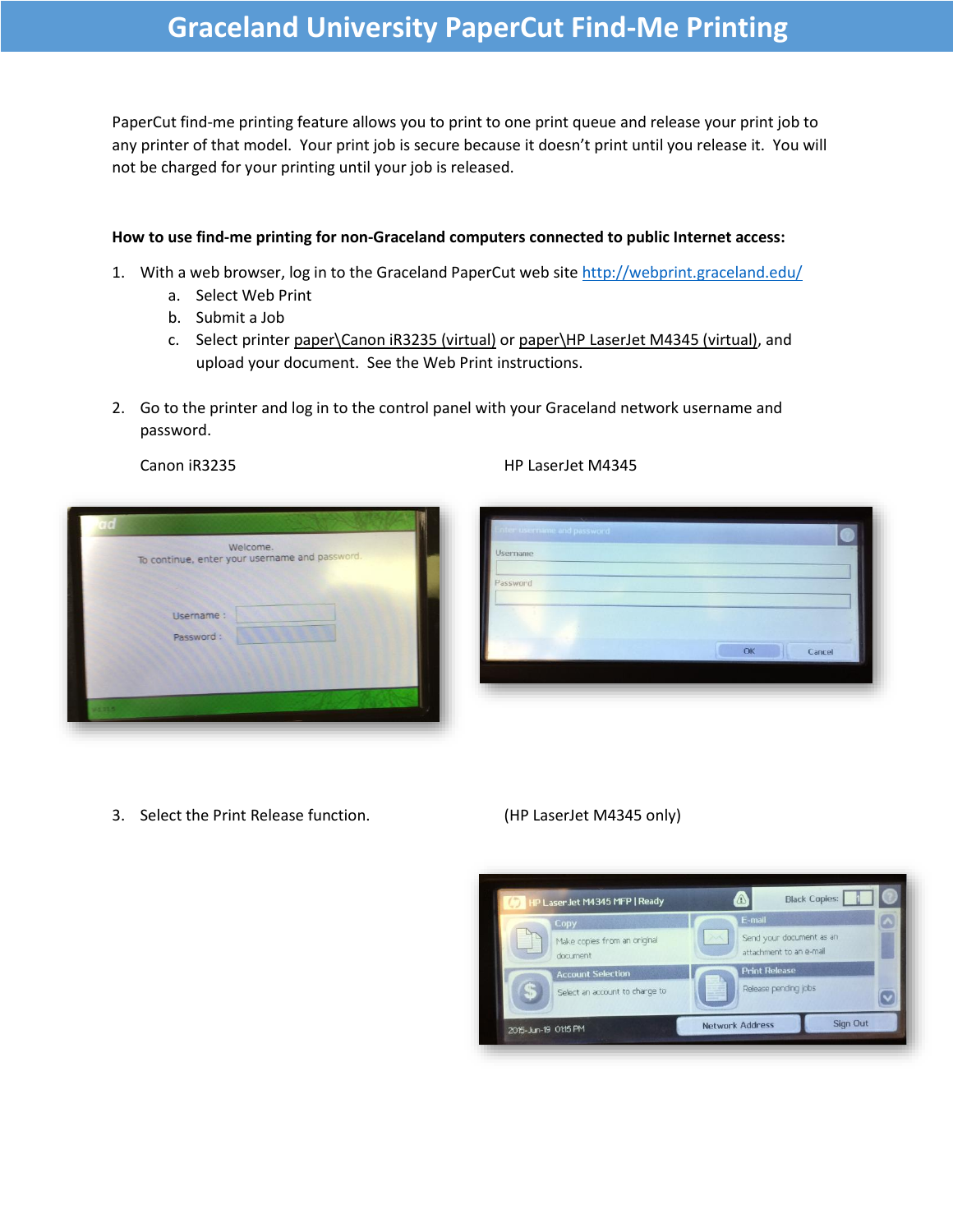# **Graceland University PaperCut Find-Me Printing**

PaperCut find-me printing feature allows you to print to one print queue and release your print job to any printer of that model. Your print job is secure because it doesn't print until you release it. You will not be charged for your printing until your job is released.

### **How to use find-me printing for non-Graceland computers connected to public Internet access:**

- 1. With a web browser, log in to the Graceland PaperCut web site <http://webprint.graceland.edu/>
	- a. Select Web Print
	- b. Submit a Job
	- c. Select printer paper\Canon iR3235 (virtual) or paper\HP LaserJet M4345 (virtual), and upload your document. See the Web Print instructions.
- 2. Go to the printer and log in to the control panel with your Graceland network username and password.

|       | Welcome.<br>To continue, enter your username and password. |  |
|-------|------------------------------------------------------------|--|
|       |                                                            |  |
|       | Username :                                                 |  |
|       | Password:                                                  |  |
|       |                                                            |  |
|       |                                                            |  |
| 75555 |                                                            |  |

3. Select the Print Release function. (HP LaserJet M4345 only)

Canon iR3235 HP LaserJet M4345

| inter username and password. |  |    |        |  |
|------------------------------|--|----|--------|--|
| Username                     |  |    |        |  |
| Password                     |  |    |        |  |
|                              |  |    |        |  |
|                              |  | OK | Cancel |  |
|                              |  |    |        |  |